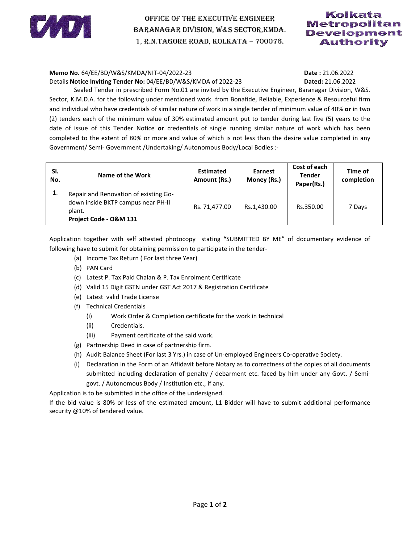

## OFFICE OF THE EXECUTIVE ENGINEER BARANAGAR FFICE THE EXECUTIVE BARANAGAR DIVISION, W&S SECTOR,KMDA. 1, R.N.TAGORE ROAD, KOLKATA - 700076.

### Kolkata **Metropolitan** Development **Authority**

### **Memo No.** 64/EE/BD/W&S/KMDA/NIT-04/2022-23 **Date : Date :**

# **Dated:** 21.06.2022

| Memo No. 64/EE/BD/W&S/KMDA/NIT-04/2022-23<br>Date: 21.06.2022                                                      |                                                                                                               |                                                     |                  |                |               |            |  |  |
|--------------------------------------------------------------------------------------------------------------------|---------------------------------------------------------------------------------------------------------------|-----------------------------------------------------|------------------|----------------|---------------|------------|--|--|
| Details Notice Inviting Tender No: 04/EE/BD/W&S/KMDA of 2022-23<br>Dated: 21.06.2022                               |                                                                                                               |                                                     |                  |                |               |            |  |  |
| Sealed Tender in prescribed Form No.01 are invited by the Executive Engineer, Baranagar Division, W&S.             |                                                                                                               |                                                     |                  |                |               |            |  |  |
| Sector, K.M.D.A. for the following under mentioned work from Bonafide, Reliable, Experience & Resourceful firm     |                                                                                                               |                                                     |                  |                |               |            |  |  |
| and individual who have credentials of similar nature of work in a single tender of minimum value of 40% or in two |                                                                                                               |                                                     |                  |                |               |            |  |  |
| (2) tenders each of the minimum value of 30% estimated amount put to tender during last five (5) years to the      |                                                                                                               |                                                     |                  |                |               |            |  |  |
| date of issue of this Tender Notice or credentials of single running similar nature of work which has been         |                                                                                                               |                                                     |                  |                |               |            |  |  |
| completed to the extent of 80% or more and value of which is not less than the desire value completed in any       |                                                                                                               |                                                     |                  |                |               |            |  |  |
| Government/ Semi- Government / Undertaking/ Autonomous Body/Local Bodies :-                                        |                                                                                                               |                                                     |                  |                |               |            |  |  |
|                                                                                                                    |                                                                                                               |                                                     |                  |                |               |            |  |  |
| SI.                                                                                                                |                                                                                                               |                                                     | <b>Estimated</b> | <b>Earnest</b> | Cost of each  | Time of    |  |  |
| No.                                                                                                                |                                                                                                               | <b>Name of the Work</b>                             | Amount (Rs.)     | Money (Rs.)    | <b>Tender</b> | completion |  |  |
| 1.                                                                                                                 |                                                                                                               |                                                     |                  |                | Paper(Rs.)    |            |  |  |
|                                                                                                                    | Repair and Renovation of existing Go-<br>down inside BKTP campus near PH-II                                   |                                                     |                  |                |               |            |  |  |
|                                                                                                                    | plant.                                                                                                        |                                                     | Rs. 71,477.00    | Rs.1,430.00    | Rs.350.00     | 7 Days     |  |  |
|                                                                                                                    |                                                                                                               | Project Code - O&M 131                              |                  |                |               |            |  |  |
|                                                                                                                    |                                                                                                               |                                                     |                  |                |               |            |  |  |
| Application together with self attested photocopy stating "SUBMITTED BY ME" of documentary evidence of             |                                                                                                               |                                                     |                  |                |               |            |  |  |
| following have to submit for obtaining permission to participate in the tender-                                    |                                                                                                               |                                                     |                  |                |               |            |  |  |
| (a) Income Tax Return (For last three Year)                                                                        |                                                                                                               |                                                     |                  |                |               |            |  |  |
|                                                                                                                    | (b) PAN Card                                                                                                  |                                                     |                  |                |               |            |  |  |
|                                                                                                                    | (c) Latest P. Tax Paid Chalan & P. Tax Enrolment Certificate                                                  |                                                     |                  |                |               |            |  |  |
|                                                                                                                    | (d) Valid 15 Digit GSTN under GST Act 2017 & Registration Certificate                                         |                                                     |                  |                |               |            |  |  |
|                                                                                                                    | (e) Latest valid Trade License                                                                                |                                                     |                  |                |               |            |  |  |
|                                                                                                                    | <b>Technical Credentials</b><br>(f)                                                                           |                                                     |                  |                |               |            |  |  |
|                                                                                                                    | Work Order & Completion certificate for the work in technical<br>(i)                                          |                                                     |                  |                |               |            |  |  |
|                                                                                                                    |                                                                                                               | (ii)<br>Credentials.                                |                  |                |               |            |  |  |
|                                                                                                                    |                                                                                                               | (iii)<br>Payment certificate of the said work.      |                  |                |               |            |  |  |
|                                                                                                                    | (g) Partnership Deed in case of partnership firm.                                                             |                                                     |                  |                |               |            |  |  |
|                                                                                                                    | (h) Audit Balance Sheet (For last 3 Yrs.) in case of Un-employed Engineers Co-operative Society.              |                                                     |                  |                |               |            |  |  |
|                                                                                                                    | Declaration in the Form of an Affidavit before Notary as to correctness of the copies of all documents<br>(i) |                                                     |                  |                |               |            |  |  |
|                                                                                                                    | submitted including declaration of penalty / debarment etc. faced by him under any Govt. / Semi-              |                                                     |                  |                |               |            |  |  |
|                                                                                                                    |                                                                                                               | govt. / Autonomous Body / Institution etc., if any. |                  |                |               |            |  |  |
| Application is to be submitted in the office of the undersigned.                                                   |                                                                                                               |                                                     |                  |                |               |            |  |  |
| If the bid value is 80% or less of the estimated amount, L1 Bidder will have to submit additional performance      |                                                                                                               |                                                     |                  |                |               |            |  |  |

- (a) Income Tax Return (For last three Year)
- (b) PAN Card
- (c) Latest P. Tax Paid Chalan & P. Tax Enrolment Certificate
- (d) Valid 15 Digit GSTN under GST Act 2017 & Registration Certificate
- (e) Latest valid Trade License
- (f) Technical Credentials
	- (i) Work Order & Completion certificate for the work in technical
	- (ii) Credentials.
	- (iii) Payment certificate of the said work.
- (g) Partnership Deed in case of partnership firm.
- (h) Audit Balance Sheet (For last 3 Yrs.) in case of Un-employed Engineers Co-operative Society.
- (i) Declaration in the Form of an Affidavit before Notary as to correctness of the copies of all documents<br>submitted including declaration of penalty / debarment etc. faced by him under any Govt. / Semi-<br>govt. / Autonomous submitted including declaration of penalty / debarment etc. faced by him under any Govt. / Semigovt. / Autonomous Body / Institution etc., if any.

If the bid value is 80% or less of the estimated amount, L1 Bidder will have to submit additional performance security @10% of tendered value.